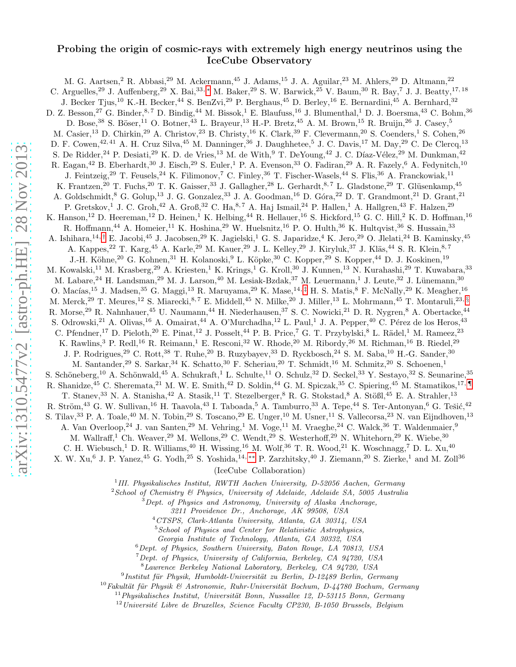# Probing the origin of cosmic-rays with extremely high energy neutrinos using the IceCube Observatory

M. G. Aartsen, 2 R. Abbasi, 29 M. Ackermann, <sup>45</sup> J. Adams, <sup>15</sup> J. A. Aguilar, <sup>23</sup> M. Ahlers, <sup>29</sup> D. Altmann, <sup>22</sup> C. Arguelles,<sup>29</sup> J. Auffenberg,<sup>29</sup> X. Bai,<sup>33,\*</sup> M. Baker,<sup>29</sup> S. W. Barwick,<sup>25</sup> V. Baum,<sup>30</sup> R. Bay,<sup>7</sup> J. J. Beatty,<sup>17, 18</sup> J. Becker Tjus,<sup>10</sup> K.-H. Becker,<sup>44</sup> S. BenZvi,<sup>29</sup> P. Berghaus,<sup>45</sup> D. Berley,<sup>16</sup> E. Bernardini,<sup>45</sup> A. Bernhard,<sup>32</sup> D. Z. Besson,<sup>27</sup> G. Binder,<sup>8,7</sup> D. Bindig,<sup>44</sup> M. Bissok,<sup>1</sup> E. Blaufuss,<sup>16</sup> J. Blumenthal,<sup>1</sup> D. J. Boersma,<sup>43</sup> C. Bohm,<sup>36</sup> D. Bose, $^{38}$  S. Böser, $^{11}$  O. Botner, $^{43}$  L. Brayeur, $^{13}$  H.-P. Bretz, $^{45}$  A. M. Brown, $^{15}$  R. Bruijn, $^{26}$  J. Casey, $^5$ M. Casier,<sup>13</sup> D. Chirkin,<sup>29</sup> A. Christov,<sup>23</sup> B. Christy,<sup>16</sup> K. Clark,<sup>39</sup> F. Clevermann,<sup>20</sup> S. Coenders,<sup>1</sup> S. Cohen,<sup>26</sup> D. F. Cowen,<sup>42, 41</sup> A. H. Cruz Silva,<sup>45</sup> M. Danninger,<sup>36</sup> J. Daughhetee,<sup>5</sup> J. C. Davis,<sup>17</sup> M. Day,<sup>29</sup> C. De Clercq,<sup>13</sup> S. De Ridder, <sup>24</sup> P. Desiati, <sup>29</sup> K. D. de Vries, <sup>13</sup> M. de With, <sup>9</sup> T. De Young, <sup>42</sup> J. C. Díaz-Vélez, <sup>29</sup> M. Dunkman, <sup>42</sup> R. Eagan,<sup>42</sup> B. Eberhardt,<sup>30</sup> J. Eisch,<sup>29</sup> S. Euler,<sup>1</sup> P. A. Evenson,<sup>33</sup> O. Fadiran,<sup>29</sup> A. R. Fazely,<sup>6</sup> A. Fedynitch,<sup>10</sup> J. Feintzeig,<sup>29</sup> T. Feusels,<sup>24</sup> K. Filimonov,<sup>7</sup> C. Finley,<sup>36</sup> T. Fischer-Wasels,<sup>44</sup> S. Flis,<sup>36</sup> A. Franckowiak,<sup>11</sup> K. Frantzen,<sup>20</sup> T. Fuchs,<sup>20</sup> T. K. Gaisser,<sup>33</sup> J. Gallagher,<sup>28</sup> L. Gerhardt,<sup>8,7</sup> L. Gladstone,<sup>29</sup> T. Glüsenkamp,<sup>45</sup> A. Goldschmidt,<sup>8</sup> G. Golup,<sup>13</sup> J. G. Gonzalez,<sup>33</sup> J. A. Goodman,<sup>16</sup> D. Góra,<sup>22</sup> D. T. Grandmont,<sup>21</sup> D. Grant,<sup>21</sup> P. Gretskov,<sup>1</sup> J. C. Groh,<sup>42</sup> A. Groß,<sup>32</sup> C. Ha,<sup>8,7</sup> A. Haj Ismail,<sup>24</sup> P. Hallen,<sup>1</sup> A. Hallgren,<sup>43</sup> F. Halzen,<sup>29</sup> K. Hanson,<sup>12</sup> D. Heereman,<sup>12</sup> D. Heinen,<sup>1</sup> K. Helbing,<sup>44</sup> R. Hellauer,<sup>16</sup> S. Hickford,<sup>15</sup> G. C. Hill,<sup>2</sup> K. D. Hoffman,<sup>16</sup> R. Hoffmann,<sup>44</sup> A. Homeier,<sup>11</sup> K. Hoshina,<sup>29</sup> W. Huelsnitz,<sup>16</sup> P. O. Hulth,<sup>36</sup> K. Hultqvist,<sup>36</sup> S. Hussain,<sup>33</sup> A. Ishihara,<sup>14,[†](#page-1-1)</sup> E. Jacobi,<sup>45</sup> J. Jacobsen,<sup>29</sup> K. Jagielski,<sup>1</sup> G. S. Japaridze,<sup>4</sup> K. Jero,<sup>29</sup> O. Jlelati,<sup>24</sup> B. Kaminsky,<sup>45</sup> A. Kappes,<sup>22</sup> T. Karg,<sup>45</sup> A. Karle,<sup>29</sup> M. Kauer,<sup>29</sup> J. L. Kelley,<sup>29</sup> J. Kiryluk,<sup>37</sup> J. Kläs,<sup>44</sup> S. R. Klein,<sup>8,7</sup> J.-H. Köhne,<sup>20</sup> G. Kohnen,<sup>31</sup> H. Kolanoski,<sup>9</sup> L. Köpke,<sup>30</sup> C. Kopper,<sup>29</sup> S. Kopper,<sup>44</sup> D. J. Koskinen,<sup>19</sup> M. Kowalski,<sup>11</sup> M. Krasberg,<sup>29</sup> A. Kriesten,<sup>1</sup> K. Krings,<sup>1</sup> G. Kroll,<sup>30</sup> J. Kunnen,<sup>13</sup> N. Kurahashi,<sup>29</sup> T. Kuwabara,<sup>33</sup> M. Labare,<sup>24</sup> H. Landsman,<sup>29</sup> M. J. Larson,<sup>40</sup> M. Lesiak-Bzdak,<sup>37</sup> M. Leuermann,<sup>1</sup> J. Leute,<sup>32</sup> J. Lünemann,<sup>30</sup> O. Macías,<sup>15</sup> J. Madsen,<sup>35</sup> G. Maggi,<sup>13</sup> R. Maruyama,<sup>29</sup> K. Mase,<sup>14,[‡](#page-1-2)</sup> H. S. Matis,<sup>8</sup> F. McNally,<sup>29</sup> K. Meagher,<sup>16</sup> M. Merck,<sup>29</sup> T. Meures,<sup>12</sup> S. Miarecki,<sup>8,7</sup> E. Middell,<sup>45</sup> N. Milke,<sup>20</sup> J. Miller,<sup>13</sup> L. Mohrmann,<sup>45</sup> T. Montaruli,<sup>23, [§](#page-1-3)</sup> R. Morse,<sup>29</sup> R. Nahnhauer,<sup>45</sup> U. Naumann,<sup>44</sup> H. Niederhausen,<sup>37</sup> S. C. Nowicki,<sup>21</sup> D. R. Nygren,<sup>8</sup> A. Obertacke,<sup>44</sup> S. Odrowski,<sup>21</sup> A. Olivas,<sup>16</sup> A. Omairat,<sup>44</sup> A. O'Murchadha,<sup>12</sup> L. Paul,<sup>1</sup> J. A. Pepper,<sup>40</sup> C. Pérez de los Heros,<sup>43</sup> C. Pfendner,<sup>17</sup> D. Pieloth,<sup>20</sup> E. Pinat,<sup>12</sup> J. Posselt,<sup>44</sup> P. B. Price,<sup>7</sup> G. T. Przybylski,<sup>8</sup> L. Rädel,<sup>1</sup> M. Rameez,<sup>23</sup> K. Rawlins,<sup>3</sup> P. Redl,<sup>16</sup> R. Reimann,<sup>1</sup> E. Resconi,<sup>32</sup> W. Rhode,<sup>20</sup> M. Ribordy,<sup>26</sup> M. Richman,<sup>16</sup> B. Riedel,<sup>29</sup> J. P. Rodrigues,<sup>29</sup> C. Rott,<sup>38</sup> T. Ruhe,<sup>20</sup> B. Ruzybayev,<sup>33</sup> D. Ryckbosch,<sup>24</sup> S. M. Saba,<sup>10</sup> H.-G. Sander,<sup>30</sup> M. Santander,<sup>29</sup> S. Sarkar,<sup>34</sup> K. Schatto,<sup>30</sup> F. Scheriau,<sup>20</sup> T. Schmidt,<sup>16</sup> M. Schmitz,<sup>20</sup> S. Schoenen,<sup>1</sup> S. Schöneberg,<sup>10</sup> A. Schönwald,<sup>45</sup> A. Schukraft,<sup>1</sup> L. Schulte,<sup>11</sup> O. Schulz,<sup>32</sup> D. Seckel,<sup>33</sup> Y. Sestayo,<sup>32</sup> S. Seunarine,<sup>35</sup> R. Shanidze,<sup>45</sup> C. Sheremata,<sup>21</sup> M. W. E. Smith,<sup>42</sup> D. Soldin,<sup>44</sup> G. M. Spiczak,<sup>35</sup> C. Spiering,<sup>45</sup> M. Stamatikos,<sup>17, [¶](#page-1-4)</sup> T. Stanev,<sup>33</sup> N. A. Stanisha,<sup>42</sup> A. Stasik,<sup>11</sup> T. Stezelberger, <sup>8</sup> R. G. Stokstad, <sup>8</sup> A. Stößl,<sup>45</sup> E. A. Strahler,<sup>13</sup> R. Ström,<sup>43</sup> G. W. Sullivan,<sup>16</sup> H. Taavola,<sup>43</sup> I. Taboada,<sup>5</sup> A. Tamburro,<sup>33</sup> A. Tepe,<sup>44</sup> S. Ter-Antonyan,<sup>6</sup> G. Tešić,<sup>42</sup> S. Tilav,<sup>33</sup> P. A. Toale,<sup>40</sup> M. N. Tobin,<sup>29</sup> S. Toscano,<sup>29</sup> E. Unger,<sup>10</sup> M. Usner,<sup>11</sup> S. Vallecorsa,<sup>23</sup> N. van Eijndhoven,<sup>13</sup> A. Van Overloop,<sup>24</sup> J. van Santen,<sup>29</sup> M. Vehring,<sup>1</sup> M. Voge,<sup>11</sup> M. Vraeghe,<sup>24</sup> C. Walck,<sup>36</sup> T. Waldenmaier,<sup>9</sup> M. Wallraff,<sup>1</sup> Ch. Weaver,<sup>29</sup> M. Wellons,<sup>29</sup> C. Wendt,<sup>29</sup> S. Westerhoff,<sup>29</sup> N. Whitehorn,<sup>29</sup> K. Wiebe,<sup>30</sup> C. H. Wiebusch,<sup>1</sup> D. R. Williams,<sup>40</sup> H. Wissing,<sup>16</sup> M. Wolf,<sup>36</sup> T. R. Wood,<sup>21</sup> K. Woschnagg,<sup>7</sup> D. L. Xu,<sup>40</sup> X. W. Xu,<sup>6</sup> J. P. Yanez,<sup>45</sup> G. Yodh,<sup>25</sup> S. Yoshida,<sup>14,\*\*</sup> P. Zarzhitsky,<sup>40</sup> J. Ziemann,<sup>20</sup> S. Zierke,<sup>1</sup> and M. Zoll<sup>36</sup> (IceCube Collaboration)

<sup>1</sup>III. Physikalisches Institut, RWTH Aachen University, D-52056 Aachen, Germany

 $2$ School of Chemistry  $\mathcal B$  Physics, University of Adelaide, Adelaide SA, 5005 Australia

 $3$  Dept. of Physics and Astronomy, University of Alaska Anchorage,

3211 Providence Dr., Anchorage, AK 99508, USA

<sup>4</sup>CTSPS, Clark-Atlanta University, Atlanta, GA 30314, USA

 $5$  School of Physics and Center for Relativistic Astrophysics,

Georgia Institute of Technology, Atlanta, GA 30332, USA

 $6$ Dept. of Physics, Southern University, Baton Rouge, LA 70813, USA

 $7$ Dept. of Physics, University of California, Berkeley, CA 94720, USA <sup>8</sup>Lawrence Berkeley National Laboratory, Berkeley, CA 94720, USA

<sup>9</sup> Institut für Physik, Humboldt-Universität zu Berlin, D-12489 Berlin, Germany

 $10Fakultät für Physik & Astronomie, Ruhr-Universität Bochum, D-44780 Bochum, Germany$ 

 $11$ Physikalisches Institut, Universität Bonn, Nussallee 12, D-53115 Bonn, Germany

 $12$ Université Libre de Bruxelles, Science Faculty CP230, B-1050 Brussels, Belgium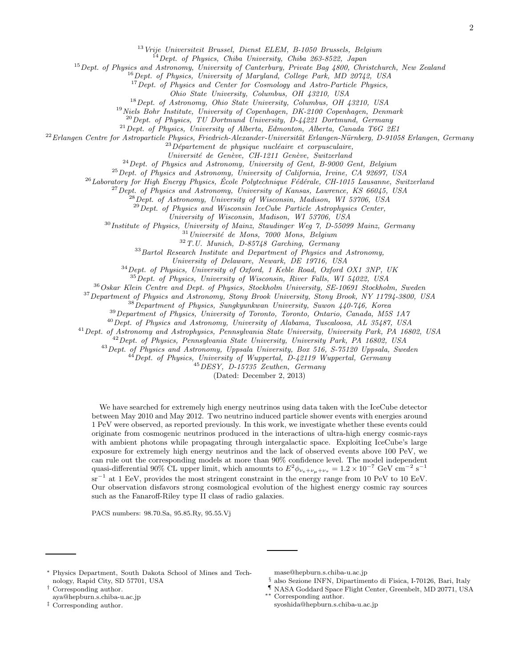<sup>13</sup> Vrije Universiteit Brussel, Dienst ELEM, B-1050 Brussels, Belgium

<sup>14</sup> Dept. of Physics, Chiba University, Chiba 263-8522, Japan

<sup>15</sup> Dept. of Physics and Astronomy, University of Canterbury, Private Bag 4800, Christchurch, New Zealand

<sup>16</sup>Dept. of Physics, University of Maryland, College Park, MD 20742, USA

<sup>17</sup> Dept. of Physics and Center for Cosmology and Astro-Particle Physics,

Ohio State University, Columbus, OH 43210, USA

<sup>18</sup>Dept. of Astronomy, Ohio State University, Columbus, OH 43210, USA

<sup>19</sup> Niels Bohr Institute, University of Copenhagen, DK-2100 Copenhagen, Denmark

 $20$  Dept. of Physics, TU Dortmund University, D-44221 Dortmund, Germany

 $^{21}$  Dept. of Physics, University of Alberta, Edmonton, Alberta, Canada T6G 2E1

 $^{22}$ Erlangen Centre for Astroparticle Physics, Friedrich-Alexander-Universität Erlangen-Nürnberg, D-91058 Erlangen, Germany

 $^{23}D\acute{e}partement$  de physique nucléaire et corpusculaire,

Université de Genève, CH-1211 Genève, Switzerland

 $^{24}$ Dept. of Physics and Astronomy, University of Gent, B-9000 Gent, Belgium

 $^{25}$  Dept. of Physics and Astronomy, University of California, Irvine, CA 92697, USA

 $^{26}$ Laboratory for High Energy Physics, École Polytechnique Fédérale, CH-1015 Lausanne, Switzerland

 $^{27}$ Dept. of Physics and Astronomy, University of Kansas, Lawrence, KS 66045, USA

 $^{28}$ Dept. of Astronomy, University of Wisconsin, Madison, WI 53706, USA

 $^{29}$ Dept. of Physics and Wisconsin IceCube Particle Astrophysics Center,

University of Wisconsin, Madison, WI 53706, USA

<sup>30</sup> Institute of Physics, University of Mainz, Staudinger Weg 7, D-55099 Mainz, Germany

 $31$ Université de Mons, 7000 Mons, Belgium

 $32 T.U.$  Munich, D-85748 Garching, Germany

 $33$ Bartol Research Institute and Department of Physics and Astronomy,

University of Delaware, Newark, DE 19716, USA

 $34$  Dept. of Physics, University of Oxford, 1 Keble Road, Oxford OX1 3NP, UK

 $35$  Dept. of Physics, University of Wisconsin, River Falls, WI 54022, USA

<sup>36</sup> Oskar Klein Centre and Dept. of Physics, Stockholm University, SE-10691 Stockholm, Sweden

<sup>37</sup> Department of Physics and Astronomy, Stony Brook University, Stony Brook, NY 11794-3800, USA

 $38$ Department of Physics, Sungkyunkwan University, Suwon 440-746, Korea

<sup>39</sup>Department of Physics, University of Toronto, Toronto, Ontario, Canada, M5S 1A7

<sup>40</sup>Dept. of Physics and Astronomy, University of Alabama, Tuscaloosa, AL 35487, USA

<sup>41</sup>Dept. of Astronomy and Astrophysics, Pennsylvania State University, University Park, PA 16802, USA

 $^{42}$  Dept. of Physics, Pennsylvania State University, University Park, PA 16802, USA

<sup>43</sup> Dept. of Physics and Astronomy, Uppsala University, Box 516, S-75120 Uppsala, Sweden

 $^{44}$ Dept. of Physics, University of Wuppertal, D-42119 Wuppertal, Germany

<sup>45</sup>DESY, D-15735 Zeuthen, Germany

(Dated: December 2, 2013)

We have searched for extremely high energy neutrinos using data taken with the IceCube detector between May 2010 and May 2012. Two neutrino induced particle shower events with energies around 1 PeV were observed, as reported previously. In this work, we investigate whether these events could originate from cosmogenic neutrinos produced in the interactions of ultra-high energy cosmic-rays with ambient photons while propagating through intergalactic space. Exploiting IceCube's large exposure for extremely high energy neutrinos and the lack of observed events above 100 PeV, we can rule out the corresponding models at more than 90% confidence level. The model independent quasi-differential 90% CL upper limit, which amounts to  $E^2 \phi_{\nu_e+\nu_\mu+\nu_\tau} = 1.2 \times 10^{-7} \text{ GeV cm}^{-2} \text{ s}^{-1}$ sr<sup>-1</sup> at 1 EeV, provides the most stringent constraint in the energy range from 10 PeV to 10 EeV. Our observation disfavors strong cosmological evolution of the highest energy cosmic ray sources such as the Fanaroff-Riley type II class of radio galaxies.

PACS numbers: 98.70.Sa, 95.85.Ry, 95.55.Vj

<span id="page-1-0"></span><sup>∗</sup> Physics Department, South Dakota School of Mines and Technology, Rapid City, SD 57701, USA

<span id="page-1-1"></span>† Corresponding author.

aya@hepburn.s.chiba-u.ac.jp

<span id="page-1-2"></span>‡ Corresponding author.

mase@hepburn.s.chiba-u.ac.jp

<span id="page-1-3"></span>§ also Sezione INFN, Dipartimento di Fisica, I-70126, Bari, Italy

- <span id="page-1-4"></span>¶ NASA Goddard Space Flight Center, Greenbelt, MD 20771, USA
- <span id="page-1-5"></span>∗∗ Corresponding author. syoshida@hepburn.s.chiba-u.ac.jp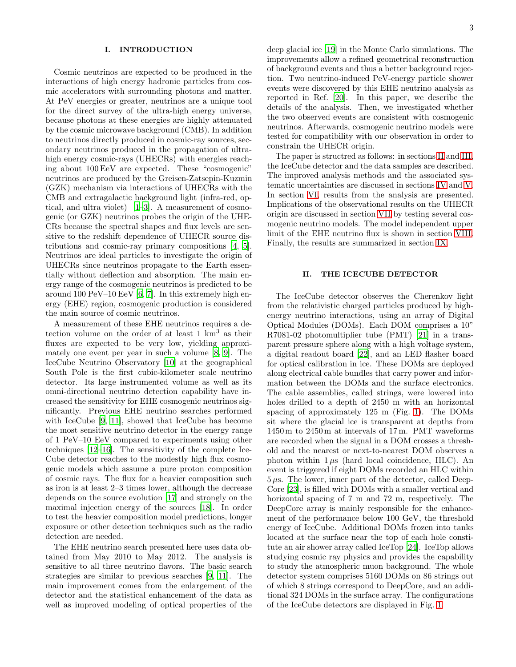# I. INTRODUCTION

Cosmic neutrinos are expected to be produced in the interactions of high energy hadronic particles from cosmic accelerators with surrounding photons and matter. At PeV energies or greater, neutrinos are a unique tool for the direct survey of the ultra-high energy universe, because photons at these energies are highly attenuated by the cosmic microwave background (CMB). In addition to neutrinos directly produced in cosmic-ray sources, secondary neutrinos produced in the propagation of ultrahigh energy cosmic-rays (UHECRs) with energies reaching about 100 EeV are expected. These "cosmogenic" neutrinos are produced by the Greisen-Zatsepin-Kuzmin (GZK) mechanism via interactions of UHECRs with the CMB and extragalactic background light (infra-red, optical, and ultra violet) [\[1](#page-13-0)[–3\]](#page-13-1). A measurement of cosmogenic (or GZK) neutrinos probes the origin of the UHE-CRs because the spectral shapes and flux levels are sensitive to the redshift dependence of UHECR source distributions and cosmic-ray primary compositions [\[4](#page-13-2), [5\]](#page-13-3). Neutrinos are ideal particles to investigate the origin of UHECRs since neutrinos propagate to the Earth essentially without deflection and absorption. The main energy range of the cosmogenic neutrinos is predicted to be around 100 PeV–10 EeV  $[6, 7]$  $[6, 7]$ . In this extremely high energy (EHE) region, cosmogenic production is considered the main source of cosmic neutrinos.

A measurement of these EHE neutrinos requires a detection volume on the order of at least 1 km<sup>3</sup> as their fluxes are expected to be very low, yielding approximately one event per year in such a volume [\[8](#page-13-6), [9\]](#page-13-7). The IceCube Neutrino Observatory [\[10\]](#page-13-8) at the geographical South Pole is the first cubic-kilometer scale neutrino detector. Its large instrumented volume as well as its omni-directional neutrino detection capability have increased the sensitivity for EHE cosmogenic neutrinos significantly. Previous EHE neutrino searches performed with IceCube [\[9,](#page-13-7) [11\]](#page-13-9), showed that IceCube has become the most sensitive neutrino detector in the energy range of 1 PeV–10 EeV compared to experiments using other techniques [\[12](#page-13-10)[–16\]](#page-13-11). The sensitivity of the complete Ice-Cube detector reaches to the modestly high flux cosmogenic models which assume a pure proton composition of cosmic rays. The flux for a heavier composition such as iron is at least 2–3 times lower, although the decrease depends on the source evolution [\[17\]](#page-13-12) and strongly on the maximal injection energy of the sources [\[18\]](#page-14-0). In order to test the heavier composition model predictions, longer exposure or other detection techniques such as the radio detection are needed.

The EHE neutrino search presented here uses data obtained from May 2010 to May 2012. The analysis is sensitive to all three neutrino flavors. The basic search strategies are similar to previous searches [\[9,](#page-13-7) [11](#page-13-9)]. The main improvement comes from the enlargement of the detector and the statistical enhancement of the data as well as improved modeling of optical properties of the deep glacial ice [\[19\]](#page-14-1) in the Monte Carlo simulations. The improvements allow a refined geometrical reconstruction of background events and thus a better background rejection. Two neutrino-induced PeV-energy particle shower events were discovered by this EHE neutrino analysis as reported in Ref. [\[20\]](#page-14-2). In this paper, we describe the details of the analysis. Then, we investigated whether the two observed events are consistent with cosmogenic neutrinos. Afterwards, cosmogenic neutrino models were tested for compatibility with our observation in order to constrain the UHECR origin.

The paper is structred as follows: in sections [II](#page-2-0) and [III,](#page-3-0) the IceCube detector and the data samples are described. The improved analysis methods and the associated systematic uncertainties are discussed in sections [IV](#page-3-1) and [V.](#page-6-0) In section [VI,](#page-9-0) results from the analysis are presented. Implications of the observational results on the UHECR origin are discussed in section [VII](#page-10-0) by testing several cosmogenic neutrino models. The model independent upper limit of the EHE neutrino flux is shown in section [VIII.](#page-12-0) Finally, the results are summarized in section [IX.](#page-13-13)

# <span id="page-2-0"></span>II. THE ICECUBE DETECTOR

The IceCube detector observes the Cherenkov light from the relativistic charged particles produced by highenergy neutrino interactions, using an array of Digital Optical Modules (DOMs). Each DOM comprises a 10" R7081-02 photomultiplier tube (PMT) [\[21\]](#page-14-3) in a transparent pressure sphere along with a high voltage system, a digital readout board [\[22](#page-14-4)], and an LED flasher board for optical calibration in ice. These DOMs are deployed along electrical cable bundles that carry power and information between the DOMs and the surface electronics. The cable assemblies, called strings, were lowered into holes drilled to a depth of 2450 m with an horizontal spacing of approximately 125 m (Fig. [1\)](#page-3-2). The DOMs sit where the glacial ice is transparent at depths from 1450 m to 2450 m at intervals of 17 m. PMT waveforms are recorded when the signal in a DOM crosses a threshold and the nearest or next-to-nearest DOM observes a photon within  $1 \mu s$  (hard local coincidence, HLC). An event is triggered if eight DOMs recorded an HLC within  $5 \mu s$ . The lower, inner part of the detector, called Deep-Core [\[23\]](#page-14-5), is filled with DOMs with a smaller vertical and horizontal spacing of 7 m and 72 m, respectively. The DeepCore array is mainly responsible for the enhancement of the performance below 100 GeV, the threshold energy of IceCube. Additional DOMs frozen into tanks located at the surface near the top of each hole constitute an air shower array called IceTop [\[24](#page-14-6)]. IceTop allows studying cosmic ray physics and provides the capability to study the atmospheric muon background. The whole detector system comprises 5160 DOMs on 86 strings out of which 8 strings correspond to DeepCore, and an additional 324 DOMs in the surface array. The configurations of the IceCube detectors are displayed in Fig. [1.](#page-3-2)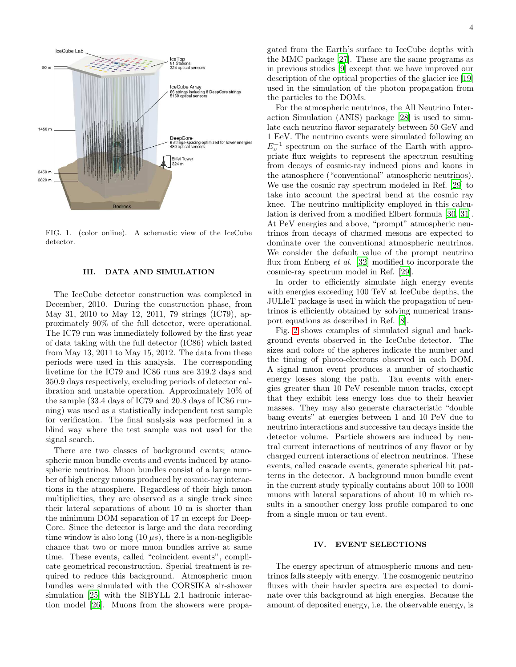

FIG. 1. (color online). A schematic view of the IceCube detector.

## <span id="page-3-2"></span><span id="page-3-0"></span>III. DATA AND SIMULATION

The IceCube detector construction was completed in December, 2010. During the construction phase, from May 31, 2010 to May 12, 2011, 79 strings (IC79), approximately 90% of the full detector, were operational. The IC79 run was immediately followed by the first year of data taking with the full detector (IC86) which lasted from May 13, 2011 to May 15, 2012. The data from these periods were used in this analysis. The corresponding livetime for the IC79 and IC86 runs are 319.2 days and 350.9 days respectively, excluding periods of detector calibration and unstable operation. Approximately 10% of the sample (33.4 days of IC79 and 20.8 days of IC86 running) was used as a statistically independent test sample for verification. The final analysis was performed in a blind way where the test sample was not used for the signal search.

There are two classes of background events; atmospheric muon bundle events and events induced by atmospheric neutrinos. Muon bundles consist of a large number of high energy muons produced by cosmic-ray interactions in the atmosphere. Regardless of their high muon multiplicities, they are observed as a single track since their lateral separations of about 10 m is shorter than the minimum DOM separation of 17 m except for Deep-Core. Since the detector is large and the data recording time window is also long  $(10 \,\mu s)$ , there is a non-negligible chance that two or more muon bundles arrive at same time. These events, called "coincident events", complicate geometrical reconstruction. Special treatment is required to reduce this background. Atmospheric muon bundles were simulated with the CORSIKA air-shower simulation [\[25\]](#page-14-7) with the SIBYLL 2.1 hadronic interaction model [\[26](#page-14-8)]. Muons from the showers were propagated from the Earth's surface to IceCube depths with the MMC package [\[27\]](#page-14-9). These are the same programs as in previous studies [\[9\]](#page-13-7) except that we have improved our description of the optical properties of the glacier ice [\[19](#page-14-1)] used in the simulation of the photon propagation from the particles to the DOMs.

For the atmospheric neutrinos, the All Neutrino Interaction Simulation (ANIS) package [\[28\]](#page-14-10) is used to simulate each neutrino flavor separately between 50 GeV and 1 EeV. The neutrino events were simulated following an  $E_{\nu}^{-1}$  spectrum on the surface of the Earth with appropriate flux weights to represent the spectrum resulting from decays of cosmic-ray induced pions and kaons in the atmosphere ("conventional" atmospheric neutrinos). We use the cosmic ray spectrum modeled in Ref. [\[29](#page-14-11)] to take into account the spectral bend at the cosmic ray knee. The neutrino multiplicity employed in this calculation is derived from a modified Elbert formula [\[30,](#page-14-12) [31\]](#page-14-13). At PeV energies and above, "prompt" atmospheric neutrinos from decays of charmed mesons are expected to dominate over the conventional atmospheric neutrinos. We consider the default value of the prompt neutrino flux from Enberg *et al.* [\[32\]](#page-14-14) modified to incorporate the cosmic-ray spectrum model in Ref. [\[29\]](#page-14-11).

In order to efficiently simulate high energy events with energies exceeding 100 TeV at IceCube depths, the JULIeT package is used in which the propagation of neutrinos is efficiently obtained by solving numerical transport equations as described in Ref. [\[8](#page-13-6)].

Fig. [2](#page-4-0) shows examples of simulated signal and background events observed in the IceCube detector. The sizes and colors of the spheres indicate the number and the timing of photo-electrons observed in each DOM. A signal muon event produces a number of stochastic energy losses along the path. Tau events with energies greater than 10 PeV resemble muon tracks, except that they exhibit less energy loss due to their heavier masses. They may also generate characteristic "double bang events" at energies between 1 and 10 PeV due to neutrino interactions and successive tau decays inside the detector volume. Particle showers are induced by neutral current interactions of neutrinos of any flavor or by charged current interactions of electron neutrinos. These events, called cascade events, generate spherical hit patterns in the detector. A background muon bundle event in the current study typically contains about 100 to 1000 muons with lateral separations of about 10 m which results in a smoother energy loss profile compared to one from a single muon or tau event.

## <span id="page-3-1"></span>IV. EVENT SELECTIONS

The energy spectrum of atmospheric muons and neutrinos falls steeply with energy. The cosmogenic neutrino fluxes with their harder spectra are expected to dominate over this background at high energies. Because the amount of deposited energy, i.e. the observable energy, is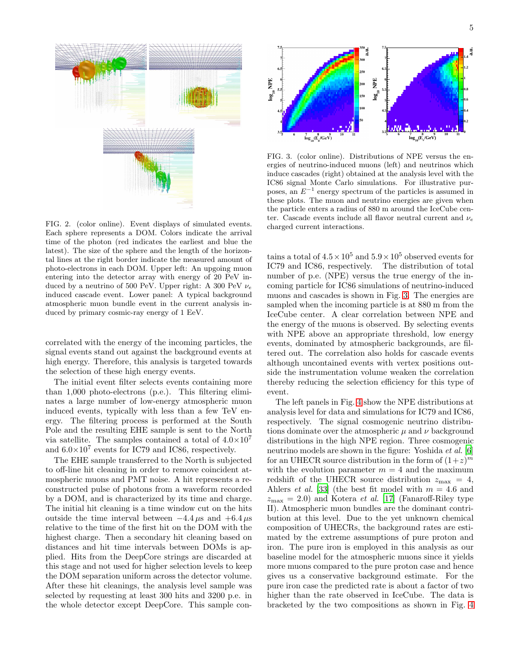

<span id="page-4-0"></span>FIG. 2. (color online). Event displays of simulated events. Each sphere represents a DOM. Colors indicate the arrival time of the photon (red indicates the earliest and blue the latest). The size of the sphere and the length of the horizontal lines at the right border indicate the measured amount of photo-electrons in each DOM. Upper left: An upgoing muon entering into the detector array with energy of 20 PeV induced by a neutrino of 500 PeV. Upper right: A 300 PeV  $\nu_e$ induced cascade event. Lower panel: A typical background atmospheric muon bundle event in the current analysis induced by primary cosmic-ray energy of 1 EeV.

correlated with the energy of the incoming particles, the signal events stand out against the background events at high energy. Therefore, this analysis is targeted towards the selection of these high energy events.

The initial event filter selects events containing more than 1,000 photo-electrons (p.e.). This filtering eliminates a large number of low-energy atmospheric muon induced events, typically with less than a few TeV energy. The filtering process is performed at the South Pole and the resulting EHE sample is sent to the North via satellite. The samples contained a total of  $4.0 \times 10^7$ and  $6.0\times10^7$  events for IC79 and IC86, respectively.

The EHE sample transferred to the North is subjected to off-line hit cleaning in order to remove coincident atmospheric muons and PMT noise. A hit represents a reconstructed pulse of photons from a waveform recorded by a DOM, and is characterized by its time and charge. The initial hit cleaning is a time window cut on the hits outside the time interval between  $-4.4 \,\mu s$  and  $+6.4 \,\mu s$ relative to the time of the first hit on the DOM with the highest charge. Then a secondary hit cleaning based on distances and hit time intervals between DOMs is applied. Hits from the DeepCore strings are discarded at this stage and not used for higher selection levels to keep the DOM separation uniform across the detector volume. After these hit cleanings, the analysis level sample was selected by requesting at least 300 hits and 3200 p.e. in the whole detector except DeepCore. This sample con-



<span id="page-4-1"></span>FIG. 3. (color online). Distributions of NPE versus the energies of neutrino-induced muons (left) and neutrinos which induce cascades (right) obtained at the analysis level with the IC86 signal Monte Carlo simulations. For illustrative purposes, an  $E^{-1}$  energy spectrum of the particles is assumed in these plots. The muon and neutrino energies are given when the particle enters a radius of 880 m around the IceCube center. Cascade events include all flavor neutral current and  $\nu_e$ charged current interactions.

tains a total of  $4.5 \times 10^5$  and  $5.9 \times 10^5$  observed events for IC79 and IC86, respectively. The distribution of total number of p.e. (NPE) versus the true energy of the incoming particle for IC86 simulations of neutrino-induced muons and cascades is shown in Fig. [3.](#page-4-1) The energies are sampled when the incoming particle is at 880 m from the IceCube center. A clear correlation between NPE and the energy of the muons is observed. By selecting events with NPE above an appropriate threshold, low energy events, dominated by atmospheric backgrounds, are filtered out. The correlation also holds for cascade events although uncontained events with vertex positions outside the instrumentation volume weaken the correlation thereby reducing the selection efficiency for this type of event.

The left panels in Fig. [4](#page-5-0) show the NPE distributions at analysis level for data and simulations for IC79 and IC86, respectively. The signal cosmogenic neutrino distributions dominate over the atmospheric  $\mu$  and  $\nu$  background distributions in the high NPE region. Three cosmogenic neutrino models are shown in the figure: Yoshida *et al.* [\[6](#page-13-4)] for an UHECR source distribution in the form of  $(1+z)^m$ with the evolution parameter  $m = 4$  and the maximum redshift of the UHECR source distribution  $z_{\text{max}} = 4$ , Ahlers *et al.* [\[33](#page-14-15)] (the best fit model with  $m = 4.6$  and  $z_{\text{max}} = 2.0$ ) and Kotera *et al.* [\[17\]](#page-13-12) (Fanaroff-Riley type II). Atmospheric muon bundles are the dominant contribution at this level. Due to the yet unknown chemical composition of UHECRs, the background rates are estimated by the extreme assumptions of pure proton and iron. The pure iron is employed in this analysis as our baseline model for the atmospheric muons since it yields more muons compared to the pure proton case and hence gives us a conservative background estimate. For the pure iron case the predicted rate is about a factor of two higher than the rate observed in IceCube. The data is bracketed by the two compositions as shown in Fig. [4](#page-5-0)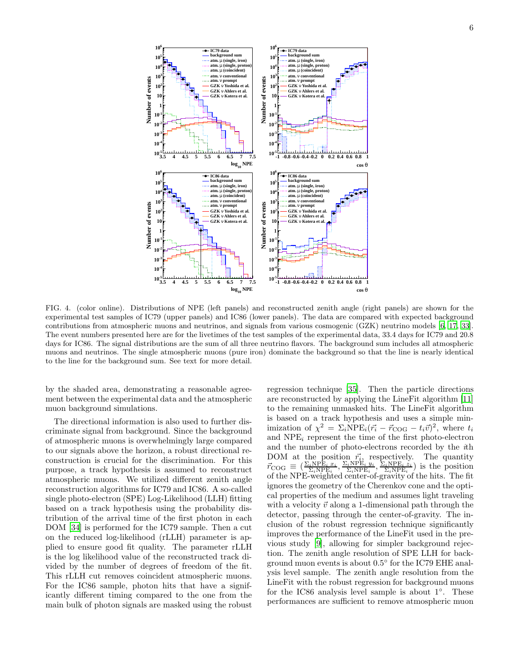

<span id="page-5-0"></span>FIG. 4. (color online). Distributions of NPE (left panels) and reconstructed zenith angle (right panels) are shown for the experimental test samples of IC79 (upper panels) and IC86 (lower panels). The data are compared with expected background contributions from atmospheric muons and neutrinos, and signals from various cosmogenic (GZK) neutrino models [\[6](#page-13-4), [17](#page-13-12), [33\]](#page-14-15). The event numbers presented here are for the livetimes of the test samples of the experimental data, 33.4 days for IC79 and 20.8 days for IC86. The signal distributions are the sum of all three neutrino flavors. The background sum includes all atmospheric muons and neutrinos. The single atmospheric muons (pure iron) dominate the background so that the line is nearly identical to the line for the background sum. See text for more detail.

by the shaded area, demonstrating a reasonable agreement between the experimental data and the atmospheric muon background simulations.

The directional information is also used to further discriminate signal from background. Since the background of atmospheric muons is overwhelmingly large compared to our signals above the horizon, a robust directional reconstruction is crucial for the discrimination. For this purpose, a track hypothesis is assumed to reconstruct atmospheric muons. We utilized different zenith angle reconstruction algorithms for IC79 and IC86. A so-called single photo-electron (SPE) Log-Likelihood (LLH) fitting based on a track hypothesis using the probability distribution of the arrival time of the first photon in each DOM [\[34\]](#page-14-16) is performed for the IC79 sample. Then a cut on the reduced log-likelihood (rLLH) parameter is applied to ensure good fit quality. The parameter rLLH is the log likelihood value of the reconstructed track divided by the number of degrees of freedom of the fit. This rLLH cut removes coincident atmospheric muons. For the IC86 sample, photon hits that have a significantly different timing compared to the one from the main bulk of photon signals are masked using the robust

regression technique [\[35](#page-14-17)]. Then the particle directions are reconstructed by applying the LineFit algorithm [\[11](#page-13-9)] to the remaining unmasked hits. The LineFit algorithm is based on a track hypothesis and uses a simple minimization of  $\chi^2 = \Sigma_i \text{NPE}_i(\vec{r}_i - \vec{r}_{\text{COG}} - t_i \vec{v})^2$ , where  $t_i$ and  $NPE_i$  represent the time of the first photo-electron and the number of photo-electrons recorded by the ith DOM at the position  $\vec{r_i}$ , respectively. The quantity  $\vec{r}_{\text{COG}} \equiv \left(\frac{\Sigma_i \text{NPE}_i x_i}{\Sigma_i \text{NPE}_i}, \frac{\Sigma_i \text{NPE}_i y_i}{\Sigma_i \text{NPE}_i}, \frac{\Sigma_i \text{NPE}_i z_i}{\Sigma_i \text{NPE}_i}\right)$  is the position of the NPE-weighted center-of-gravity of the hits. The fit ignores the geometry of the Cherenkov cone and the optical properties of the medium and assumes light traveling with a velocity  $\vec{v}$  along a 1-dimensional path through the detector, passing through the center-of-gravity. The inclusion of the robust regression technique significantly improves the performance of the LineFit used in the previous study [\[9\]](#page-13-7), allowing for simpler background rejection. The zenith angle resolution of SPE LLH for background muon events is about  $0.5^{\circ}$  for the IC79 EHE analysis level sample. The zenith angle resolution from the LineFit with the robust regression for background muons for the IC86 analysis level sample is about 1◦ . These performances are sufficient to remove atmospheric muon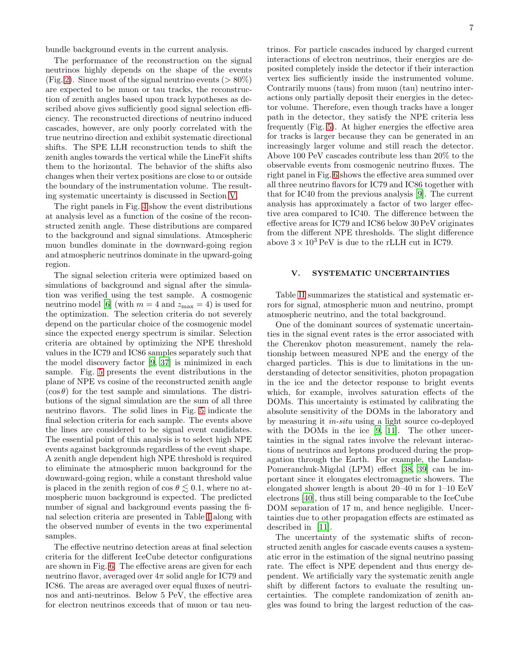bundle background events in the current analysis.

The performance of the reconstruction on the signal neutrinos highly depends on the shape of the events (Fig. [2\)](#page-4-0). Since most of the signal neutrino events ( $> 80\%$ ) are expected to be muon or tau tracks, the reconstruction of zenith angles based upon track hypotheses as described above gives sufficiently good signal selection efficiency. The reconstructed directions of neutrino induced cascades, however, are only poorly correlated with the true neutrino direction and exhibit systematic directional shifts. The SPE LLH reconstruction tends to shift the zenith angles towards the vertical while the LineFit shifts them to the horizontal. The behavior of the shifts also changes when their vertex positions are close to or outside the boundary of the instrumentation volume. The resulting systematic uncertainty is discussed in Section [V.](#page-6-0)

The right panels in Fig. [4](#page-5-0) show the event distributions at analysis level as a function of the cosine of the reconstructed zenith angle. These distributions are compared to the background and signal simulations. Atmospheric muon bundles dominate in the downward-going region and atmospheric neutrinos dominate in the upward-going region.

The signal selection criteria were optimized based on simulations of background and signal after the simulation was verified using the test sample. A cosmogenic neutrino model [\[6](#page-13-4)] (with  $m = 4$  and  $z_{\text{max}} = 4$ ) is used for the optimization. The selection criteria do not severely depend on the particular choice of the cosmogenic model since the expected energy spectrum is similar. Selection criteria are obtained by optimizing the NPE threshold values in the IC79 and IC86 samples separately such that the model discovery factor [\[9,](#page-13-7) [37\]](#page-14-18) is minimized in each sample. Fig. [5](#page-7-0) presents the event distributions in the plane of NPE vs cosine of the reconstructed zenith angle  $(\cos \theta)$  for the test sample and simulations. The distributions of the signal simulation are the sum of all three neutrino flavors. The solid lines in Fig. [5](#page-7-0) indicate the final selection criteria for each sample. The events above the lines are considered to be signal event candidates. The essential point of this analysis is to select high NPE events against backgrounds regardless of the event shape. A zenith angle dependent high NPE threshold is required to eliminate the atmospheric muon background for the downward-going region, while a constant threshold value is placed in the zenith region of cos  $\theta \leq 0.1$ , where no atmospheric muon background is expected. The predicted number of signal and background events passing the final selection criteria are presented in Table [I](#page-7-1) along with the observed number of events in the two experimental samples.

The effective neutrino detection areas at final selection criteria for the different IceCube detector configurations are shown in Fig. [6.](#page-8-0) The effective areas are given for each neutrino flavor, averaged over  $4\pi$  solid angle for IC79 and IC86. The areas are averaged over equal fluxes of neutrinos and anti-neutrinos. Below 5 PeV, the effective area for electron neutrinos exceeds that of muon or tau neu-

trinos. For particle cascades induced by charged current interactions of electron neutrinos, their energies are deposited completely inside the detector if their interaction vertex lies sufficiently inside the instrumented volume. Contrarily muons (taus) from muon (tau) neutrino interactions only partially deposit their energies in the detector volume. Therefore, even though tracks have a longer path in the detector, they satisfy the NPE criteria less frequently (Fig. [5\)](#page-7-0). At higher energies the effective area for tracks is larger because they can be generated in an increasingly larger volume and still reach the detector. Above 100 PeV cascades contribute less than 20% to the observable events from cosmogenic neutrino fluxes. The right panel in Fig. [6](#page-8-0) shows the effective area summed over all three neutrino flavors for IC79 and IC86 together with that for IC40 from the previous analysis [\[9\]](#page-13-7). The current analysis has approximately a factor of two larger effective area compared to IC40. The difference between the effective areas for IC79 and IC86 below 30 PeV originates from the different NPE thresholds. The slight difference above  $3 \times 10^3$  PeV is due to the rLLH cut in IC79.

# <span id="page-6-0"></span>V. SYSTEMATIC UNCERTAINTIES

Table [II](#page-8-1) summarizes the statistical and systematic errors for signal, atmospheric muon and neutrino, prompt atmospheric neutrino, and the total background.

One of the dominant sources of systematic uncertainties in the signal event rates is the error associated with the Cherenkov photon measurement, namely the relationship between measured NPE and the energy of the charged particles. This is due to limitations in the understanding of detector sensitivities, photon propagation in the ice and the detector response to bright events which, for example, involves saturation effects of the DOMs. This uncertainty is estimated by calibrating the absolute sensitivity of the DOMs in the laboratory and by measuring it in-situ using a light source co-deployed with the DOMs in the ice [\[9](#page-13-7), [11](#page-13-9)]. The other uncertainties in the signal rates involve the relevant interactions of neutrinos and leptons produced during the propagation through the Earth. For example, the Landau-Pomeranchuk-Migdal (LPM) effect [\[38,](#page-14-19) [39](#page-14-20)] can be important since it elongates electromagnetic showers. The elongated shower length is about 20–40 m for 1–10 EeV electrons [\[40\]](#page-14-21), thus still being comparable to the IceCube DOM separation of 17 m, and hence negligible. Uncertainties due to other propagation effects are estimated as described in [\[11\]](#page-13-9).

The uncertainty of the systematic shifts of reconstructed zenith angles for cascade events causes a systematic error in the estimation of the signal neutrino passing rate. The effect is NPE dependent and thus energy dependent. We artificially vary the systematic zenith angle shift by different factors to evaluate the resulting uncertainties. The complete randomization of zenith angles was found to bring the largest reduction of the cas-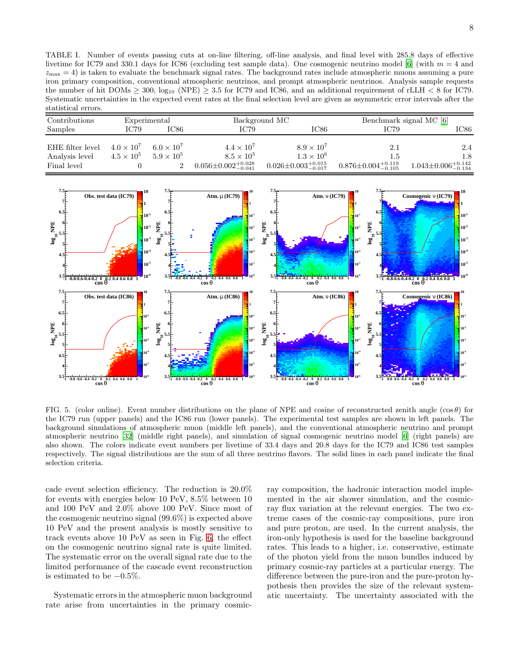<span id="page-7-1"></span>TABLE I. Number of events passing cuts at on-line filtering, off-line analysis, and final level with 285.8 days of effective livetime for IC79 and 330.1 days for IC86 (excluding test sample data). One cosmogenic neutrino model [\[6](#page-13-4)] (with  $m = 4$  and  $z_{\text{max}} = 4$ ) is taken to evaluate the benchmark signal rates. The background rates include atmospheric muons assuming a pure iron primary composition, conventional atmospheric neutrinos, and prompt atmospheric neutrinos. Analysis sample requests the number of hit DOMs  $\geq$  300, log<sub>10</sub> (NPE)  $\geq$  3.5 for IC79 and IC86, and an additional requirement of rLLH  $\lt$  8 for IC79. Systematic uncertainties in the expected event rates at the final selection level are given as asymmetric error intervals after the statistical errors.

| Contributions                                     | Experimental                             |                                            |                                                                               | Background MC                                                                 | Benchmark signal MC [6]                           |                                                   |
|---------------------------------------------------|------------------------------------------|--------------------------------------------|-------------------------------------------------------------------------------|-------------------------------------------------------------------------------|---------------------------------------------------|---------------------------------------------------|
| Samples                                           | IC79                                     | IC86                                       | <b>IC79</b>                                                                   | IC86                                                                          | <b>IC79</b>                                       | IC86                                              |
| EHE filter level<br>Analysis level<br>Final level | $4.0 \times 10^{7}$<br>$4.5 \times 10^5$ | $6.0 \times 10^{7}$<br>$5.9 \times 10^{5}$ | $4.4 \times 10^7$<br>$8.5 \times 10^5$<br>$0.056 \pm 0.002_{-0.041}^{+0.028}$ | $8.9 \times 10^7$<br>$1.3 \times 10^6$<br>$0.026 \pm 0.003_{-0.017}^{+0.015}$ | 2.1<br>1.5<br>$0.876 \pm 0.004_{-0.105}^{+0.119}$ | 2.4<br>1.8<br>$1.043 \pm 0.006_{-0.134}^{+0.142}$ |



<span id="page-7-0"></span>FIG. 5. (color online). Event number distributions on the plane of NPE and cosine of reconstructed zenith angle  $(\cos \theta)$  for the IC79 run (upper panels) and the IC86 run (lower panels). The experimental test samples are shown in left panels. The background simulations of atmospheric muon (middle left panels), and the conventional atmospheric neutrino and prompt atmospheric neutrino [\[32](#page-14-14)] (middle right panels), and simulation of signal cosmogenic neutrino model [\[6](#page-13-4)] (right panels) are also shown. The colors indicate event numbers per livetime of 33.4 days and 20.8 days for the IC79 and IC86 test samples respectively. The signal distributions are the sum of all three neutrino flavors. The solid lines in each panel indicate the final selection criteria.

cade event selection efficiency. The reduction is 20.0% for events with energies below 10 PeV, 8.5% between 10 and 100 PeV and 2.0% above 100 PeV. Since most of the cosmogenic neutrino signal (99.6%) is expected above 10 PeV and the present analysis is mostly sensitive to track events above 10 PeV as seen in Fig. [6,](#page-8-0) the effect on the cosmogenic neutrino signal rate is quite limited. The systematic error on the overall signal rate due to the limited performance of the cascade event reconstruction is estimated to be  $-0.5\%$ .

Systematic errors in the atmospheric muon background rate arise from uncertainties in the primary cosmicray composition, the hadronic interaction model implemented in the air shower simulation, and the cosmicray flux variation at the relevant energies. The two extreme cases of the cosmic-ray compositions, pure iron and pure proton, are used. In the current analysis, the iron-only hypothesis is used for the baseline background rates. This leads to a higher, i.e. conservative, estimate of the photon yield from the muon bundles induced by primary cosmic-ray particles at a particular energy. The difference between the pure-iron and the pure-proton hypothesis then provides the size of the relevant systematic uncertainty. The uncertainty associated with the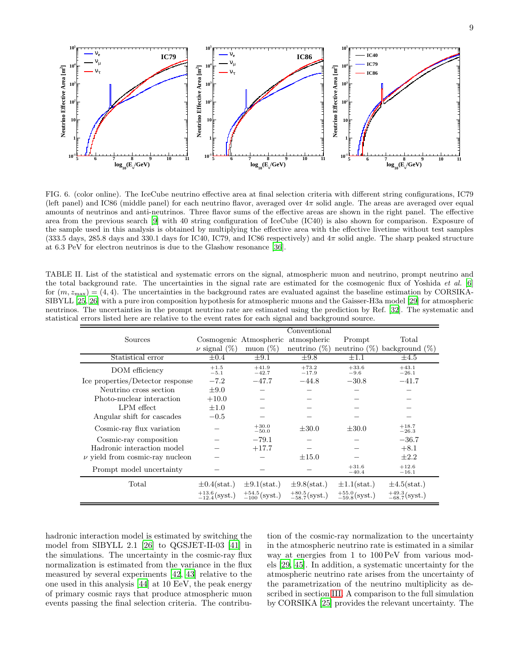

<span id="page-8-0"></span>FIG. 6. (color online). The IceCube neutrino effective area at final selection criteria with different string configurations, IC79 (left panel) and IC86 (middle panel) for each neutrino flavor, averaged over  $4\pi$  solid angle. The areas are averaged over equal amounts of neutrinos and anti-neutrinos. Three flavor sums of the effective areas are shown in the right panel. The effective area from the previous search [\[9](#page-13-7)] with 40 string configuration of IceCube (IC40) is also shown for comparison. Exposure of the sample used in this analysis is obtained by multiplying the effective area with the effective livetime without test samples (333.5 days, 285.8 days and 330.1 days for IC40, IC79, and IC86 respectively) and 4π solid angle. The sharp peaked structure at 6.3 PeV for electron neutrinos is due to the Glashow resonance [\[36](#page-14-22)].

<span id="page-8-1"></span>TABLE II. List of the statistical and systematic errors on the signal, atmospheric muon and neutrino, prompt neutrino and the total background rate. The uncertainties in the signal rate are estimated for the cosmogenic flux of Yoshida *et al.* [\[6](#page-13-4)] for  $(m, z_{\text{max}}) = (4, 4)$ . The uncertainties in the background rates are evaluated against the baseline estimation by CORSIKA-SIBYLL [\[25](#page-14-7), [26](#page-14-8)] with a pure iron composition hypothesis for atmospheric muons and the Gaisser-H3a model [\[29](#page-14-11)] for atmospheric neutrinos. The uncertainties in the prompt neutrino rate are estimated using the prediction by Ref. [\[32](#page-14-14)]. The systematic and statistical errors listed here are relative to the event rates for each signal and background source.

|                                     |                            |                                    | Conventional               |                            |                            |
|-------------------------------------|----------------------------|------------------------------------|----------------------------|----------------------------|----------------------------|
| Sources                             |                            | Cosmogenic Atmospheric atmospheric |                            | Prompt                     | Total                      |
|                                     | $\nu$ signal $(\%)$        | muon $(\%)$                        | neutrino $(\%)$            | neutrino $(\%)$            | background $(\%)$          |
| Statistical error                   | $\pm 0.4$                  | $\pm 9.1$                          | $\pm9.8$                   | $\pm 1.1$                  | $\pm 4.5$                  |
| DOM efficiency                      | $+1.5$<br>$-5.1$           | $+41.9$<br>$-42.7$                 | $+73.2$<br>$-17.9$         | $+33.6$<br>$-9.6$          | $+43.1$<br>$-26.1$         |
| Ice properties/Detector response    | $-7.2$                     | $-47.7$                            | $-44.8$                    | $-30.8$                    | $-41.7$                    |
| Neutrino cross section              | $\pm 9.0$                  |                                    |                            |                            |                            |
| Photo-nuclear interaction           | $+10.0$                    |                                    |                            |                            |                            |
| LPM effect                          | $\pm 1.0$                  |                                    |                            |                            |                            |
| Angular shift for cascades          | $-0.5$                     |                                    |                            |                            |                            |
| Cosmic-ray flux variation           |                            | $+30.0$<br>$-50.0$                 | $\pm 30.0$                 | $\pm 30.0$                 | $+18.7$<br>$-26.3$         |
| Cosmic-ray composition              |                            | $-79.1$                            |                            |                            | $-36.7$                    |
| Hadronic interaction model          |                            | $+17.7$                            |                            |                            | $+8.1$                     |
| $\nu$ yield from cosmic-ray nucleon |                            |                                    | $\pm 15.0$                 |                            | $\pm 2.2$                  |
| Prompt model uncertainty            |                            |                                    |                            | $+31.6$<br>$-40.4$         | $+12.6$<br>$-16.1$         |
| Total                               | $\pm 0.4$ (stat.)          | $\pm 9.1$ (stat.)                  | $\pm 9.8$ (stat.)          | $\pm 1.1$ (stat.)          | $\pm 4.5$ (stat.)          |
|                                     | $^{+13.6}_{-12.4}$ (syst.) | $^{+54.5}_{-100}$ (syst.)          | $^{+80.5}_{-58.7}$ (syst.) | $^{+55.0}_{-59.8}$ (syst.) | $^{+49.3}_{-68.7}$ (syst.) |

hadronic interaction model is estimated by switching the model from SIBYLL 2.1 [\[26\]](#page-14-8) to QGSJET-II-03 [\[41](#page-14-23)] in the simulations. The uncertainty in the cosmic-ray flux normalization is estimated from the variance in the flux measured by several experiments [\[42,](#page-14-24) [43\]](#page-14-25) relative to the one used in this analysis [\[44\]](#page-14-26) at 10 EeV, the peak energy of primary cosmic rays that produce atmospheric muon events passing the final selection criteria. The contribu-

tion of the cosmic-ray normalization to the uncertainty in the atmospheric neutrino rate is estimated in a similar way at energies from 1 to 100 PeV from various models [\[29,](#page-14-11) [45\]](#page-14-27). In addition, a systematic uncertainty for the atmospheric neutrino rate arises from the uncertainty of the parametrization of the neutrino multiplicity as described in section [III.](#page-3-0) A comparison to the full simulation by CORSIKA [\[25](#page-14-7)] provides the relevant uncertainty. The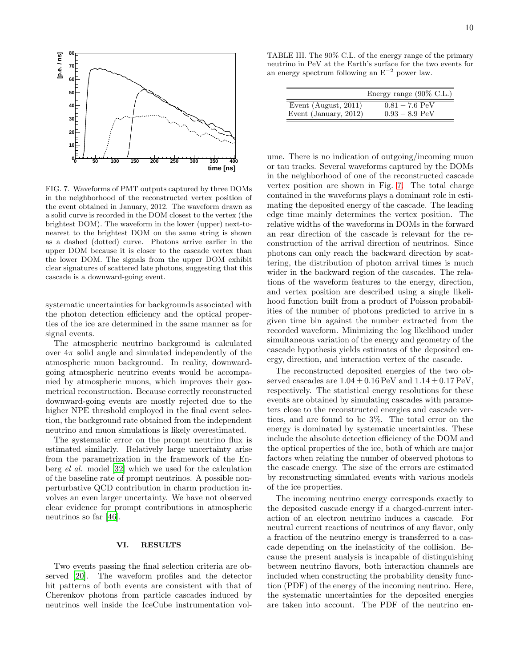

<span id="page-9-1"></span>FIG. 7. Waveforms of PMT outputs captured by three DOMs in the neighborhood of the reconstructed vertex position of the event obtained in January, 2012. The waveform drawn as a solid curve is recorded in the DOM closest to the vertex (the brightest DOM). The waveform in the lower (upper) next-tonearest to the brightest DOM on the same string is shown as a dashed (dotted) curve. Photons arrive earlier in the upper DOM because it is closer to the cascade vertex than the lower DOM. The signals from the upper DOM exhibit clear signatures of scattered late photons, suggesting that this cascade is a downward-going event.

systematic uncertainties for backgrounds associated with the photon detection efficiency and the optical properties of the ice are determined in the same manner as for signal events.

The atmospheric neutrino background is calculated over  $4\pi$  solid angle and simulated independently of the atmospheric muon background. In reality, downwardgoing atmospheric neutrino events would be accompanied by atmospheric muons, which improves their geometrical reconstruction. Because correctly reconstructed downward-going events are mostly rejected due to the higher NPE threshold employed in the final event selection, the background rate obtained from the independent neutrino and muon simulations is likely overestimated.

The systematic error on the prompt neutrino flux is estimated similarly. Relatively large uncertainty arise from the parametrization in the framework of the Enberg el al. model [\[32](#page-14-14)] which we used for the calculation of the baseline rate of prompt neutrinos. A possible nonperturbative QCD contribution in charm production involves an even larger uncertainty. We have not observed clear evidence for prompt contributions in atmospheric neutrinos so far [\[46\]](#page-14-28).

## <span id="page-9-0"></span>VI. RESULTS

Two events passing the final selection criteria are observed [\[20\]](#page-14-2). The waveform profiles and the detector hit patterns of both events are consistent with that of Cherenkov photons from particle cascades induced by neutrinos well inside the IceCube instrumentation vol-

TABLE III. The 90% C.L. of the energy range of the primary neutrino in PeV at the Earth's surface for the two events for an energy spectrum following an  $E^{-2}$  power law.

<span id="page-9-2"></span>

|                         | Energy range $(90\% \text{ C.L.})$ |
|-------------------------|------------------------------------|
| Event (August, $2011$ ) | $0.81 - 7.6$ PeV                   |
| Event (January, 2012)   | $0.93 - 8.9$ PeV                   |

ume. There is no indication of outgoing/incoming muon or tau tracks. Several waveforms captured by the DOMs in the neighborhood of one of the reconstructed cascade vertex position are shown in Fig. [7.](#page-9-1) The total charge contained in the waveforms plays a dominant role in estimating the deposited energy of the cascade. The leading edge time mainly determines the vertex position. The relative widths of the waveforms in DOMs in the forward an rear direction of the cascade is relevant for the reconstruction of the arrival direction of neutrinos. Since photons can only reach the backward direction by scattering, the distribution of photon arrival times is much wider in the backward region of the cascades. The relations of the waveform features to the energy, direction, and vertex position are described using a single likelihood function built from a product of Poisson probabilities of the number of photons predicted to arrive in a given time bin against the number extracted from the recorded waveform. Minimizing the log likelihood under simultaneous variation of the energy and geometry of the cascade hypothesis yields estimates of the deposited energy, direction, and interaction vertex of the cascade.

The reconstructed deposited energies of the two observed cascades are  $1.04 \pm 0.16$  PeV and  $1.14 \pm 0.17$  PeV, respectively. The statistical energy resolutions for these events are obtained by simulating cascades with parameters close to the reconstructed energies and cascade vertices, and are found to be 3%. The total error on the energy is dominated by systematic uncertainties. These include the absolute detection efficiency of the DOM and the optical properties of the ice, both of which are major factors when relating the number of observed photons to the cascade energy. The size of the errors are estimated by reconstructing simulated events with various models of the ice properties.

The incoming neutrino energy corresponds exactly to the deposited cascade energy if a charged-current interaction of an electron neutrino induces a cascade. For neutral current reactions of neutrinos of any flavor, only a fraction of the neutrino energy is transferred to a cascade depending on the inelasticity of the collision. Because the present analysis is incapable of distinguishing between neutrino flavors, both interaction channels are included when constructing the probability density function (PDF) of the energy of the incoming neutrino. Here, the systematic uncertainties for the deposited energies are taken into account. The PDF of the neutrino en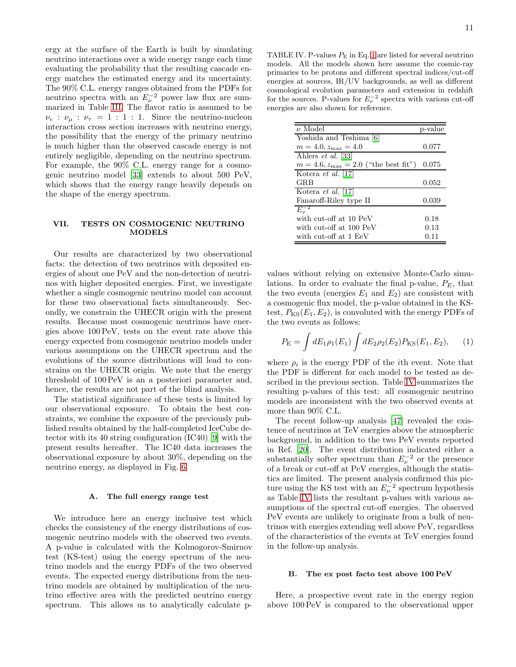ergy at the surface of the Earth is built by simulating neutrino interactions over a wide energy range each time evaluating the probability that the resulting cascade energy matches the estimated energy and its uncertainty. The 90% C.L. energy ranges obtained from the PDFs for neutrino spectra with an  $E_{\nu}^{-2}$  power law flux are summarized in Table [III.](#page-9-2) The flavor ratio is assumed to be  $\nu_e : \nu_\mu : \nu_\tau = 1 : 1 : 1$ . Since the neutrino-nucleon interaction cross section increases with neutrino energy, the possibility that the energy of the primary neutrino is much higher than the observed cascade energy is not entirely negligible, depending on the neutrino spectrum. For example, the 90% C.L. energy range for a cosmogenic neutrino model [\[33](#page-14-15)] extends to about 500 PeV, which shows that the energy range heavily depends on the shape of the energy spectrum.

# <span id="page-10-0"></span>VII. TESTS ON COSMOGENIC NEUTRINO MODELS

Our results are characterized by two observational facts: the detection of two neutrinos with deposited energies of about one PeV and the non-detection of neutrinos with higher deposited energies. First, we investigate whether a single cosmogenic neutrino model can account for these two observational facts simultaneously. Secondly, we constrain the UHECR origin with the present results. Because most cosmogenic neutrinos have energies above 100 PeV, tests on the event rate above this energy expected from cosmogenic neutrino models under various assumptions on the UHECR spectrum and the evolutions of the source distributions will lead to constrains on the UHECR origin. We note that the energy threshold of 100 PeV is an a posteriori parameter and, hence, the results are not part of the blind analysis.

The statistical significance of these tests is limited by our observational exposure. To obtain the best constraints, we combine the exposure of the previously published results obtained by the half-completed IceCube detector with its 40 string configuration (IC40) [\[9\]](#page-13-7) with the present results hereafter. The IC40 data increases the observational exposure by about 30%, depending on the neutrino energy, as displayed in Fig. [6.](#page-8-0)

#### A. The full energy range test

We introduce here an energy inclusive test which checks the consistency of the energy distributions of cosmogenic neutrino models with the observed two events. A p-value is calculated with the Kolmogorov-Smirnov test (KS-test) using the energy spectrum of the neutrino models and the energy PDFs of the two observed events. The expected energy distributions from the neutrino models are obtained by multiplication of the neutrino effective area with the predicted neutrino energy spectrum. This allows us to analytically calculate p-

<span id="page-10-2"></span>TABLE IV. P-values  $P_{\rm E}$  in Eq. [1](#page-10-1) are listed for several neutrino models. All the models shown here assume the cosmic-ray primaries to be protons and different spectral indices/cut-off energies at sources, IR/UV backgrounds, as well as different cosmological evolution parameters and extension in redshift for the sources. P-values for  $E_{\nu}^{-2}$  spectra with various cut-off energies are also shown for reference.

| $\nu$ Model                                      | p-value |
|--------------------------------------------------|---------|
| Yoshida and Teshima [6]                          |         |
| $m = 4.0, z_{\text{max}} = 4.0$                  | 0.077   |
| Ahlers <i>et al.</i> [33]                        |         |
| $m = 4.6, z_{\text{max}} = 2.0$ ("the best fit") | 0.075   |
| Kotera <i>et al.</i> [17]                        |         |
| <b>GRB</b>                                       | 0.052   |
| Kotera <i>et al.</i> [17]                        |         |
| Fanaroff-Riley type II                           | 0.039   |
| $E_{\nu}^{-2}$                                   |         |
| with cut-off at 10 PeV                           | 0.18    |
| with cut-off at 100 PeV                          | 0.13    |
| with cut-off at 1 EeV                            | 0.11    |
|                                                  |         |

values without relying on extensive Monte-Carlo simulations. In order to evaluate the final p-value,  $P_E$ , that the two events (energies  $E_1$  and  $E_2$ ) are consistent with a cosmogenic flux model, the p-value obtained in the KStest,  $P_{\text{KS}}(E_1, E_2)$ , is convoluted with the energy PDFs of the two events as follows:

<span id="page-10-1"></span>
$$
P_{\rm E} = \int dE_1 \rho_1(E_1) \int dE_2 \rho_2(E_2) P_{\rm KS}(E_1, E_2), \qquad (1)
$$

where  $\rho_i$  is the energy PDF of the *i*th event. Note that the PDF is different for each model to be tested as described in the previous section. Table [IV](#page-10-2) summarizes the resulting p-values of this test: all cosmogenic neutrino models are inconsistent with the two observed events at more than 90% C.L.

The recent follow-up analysis [\[47](#page-14-29)] revealed the existence of neutrinos at TeV energies above the atmospheric background, in addition to the two PeV events reported in Ref. [\[20\]](#page-14-2). The event distribution indicated either a substantially softer spectrum than  $E_{\nu}^{-2}$  or the presence of a break or cut-off at PeV energies, although the statistics are limited. The present analysis confirmed this picture using the KS test with an  $E_{\nu}^{-2}$  spectrum hypothesis as Table [IV](#page-10-2) lists the resultant p-values with various assumptions of the spectral cut-off energies. The observed PeV events are unlikely to originate from a bulk of neutrinos with energies extending well above PeV, regardless of the characteristics of the events at TeV energies found in the follow-up analysis.

# B. The ex post facto test above 100 PeV

Here, a prospective event rate in the energy region above 100 PeV is compared to the observational upper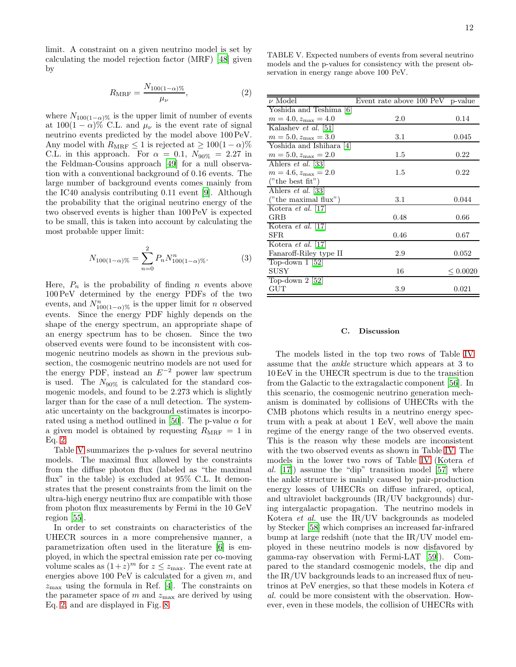<span id="page-11-0"></span>limit. A constraint on a given neutrino model is set by calculating the model rejection factor (MRF) [\[48\]](#page-14-30) given by

$$
R_{\text{MRF}} = \frac{N_{100(1-\alpha)\%}}{\mu_{\nu}},\tag{2}
$$

where  $N_{100(1-\alpha)}$ % is the upper limit of number of events at  $100(1-\alpha)\%$  C.L. and  $\mu_{\nu}$  is the event rate of signal neutrino events predicted by the model above 100 PeV. Any model with  $R_{\text{MRF}}\leq 1$  is rejected at  $\geq 100(1-\alpha)\%$ C.L. in this approach. For  $\alpha = 0.1$ ,  $N_{90\%} = 2.27$  in the Feldman-Cousins approach [\[49\]](#page-14-31) for a null observation with a conventional background of 0.16 events. The large number of background events comes mainly from the IC40 analysis contributing 0.11 event [\[9](#page-13-7)]. Although the probability that the original neutrino energy of the two observed events is higher than 100 PeV is expected to be small, this is taken into account by calculating the most probable upper limit:

<span id="page-11-2"></span>
$$
N_{100(1-\alpha)\%} = \sum_{n=0}^{2} P_n N_{100(1-\alpha)\%}^n.
$$
 (3)

Here,  $P_n$  is the probability of finding n events above 100 PeV determined by the energy PDFs of the two events, and  $N_{100(1-\alpha)\%}^n$  is the upper limit for n observed events. Since the energy PDF highly depends on the shape of the energy spectrum, an appropriate shape of an energy spectrum has to be chosen. Since the two observed events were found to be inconsistent with cosmogenic neutrino models as shown in the previous subsection, the cosmogenic neutrino models are not used for the energy PDF, instead an  $E^{-2}$  power law spectrum is used. The  $N_{90\%}$  is calculated for the standard cosmogenic models, and found to be 2.273 which is slightly larger than for the case of a null detection. The systematic uncertainty on the background estimates is incorpo-rated using a method outlined in [\[50\]](#page-14-32). The p-value  $\alpha$  for a given model is obtained by requesting  $R_{\text{MRF}} = 1$  in Eq. [2.](#page-11-0)

Table [V](#page-11-1) summarizes the p-values for several neutrino models. The maximal flux allowed by the constraints from the diffuse photon flux (labeled as "the maximal flux" in the table) is excluded at 95% C.L. It demonstrates that the present constraints from the limit on the ultra-high energy neutrino flux are compatible with those from photon flux measurements by Fermi in the 10 GeV region [\[55\]](#page-14-33).

In order to set constraints on characteristics of the UHECR sources in a more comprehensive manner, a parametrization often used in the literature [\[6\]](#page-13-4) is employed, in which the spectral emission rate per co-moving volume scales as  $(1+z)^m$  for  $z \le z_{\text{max}}$ . The event rate at energies above 100 PeV is calculated for a given  $m$ , and  $z_{\text{max}}$  using the formula in Ref. [\[4\]](#page-13-2). The constraints on the parameter space of m and  $z_{\text{max}}$  are derived by using Eq. [2,](#page-11-0) and are displayed in Fig. [8.](#page-12-1)

<span id="page-11-1"></span>TABLE V. Expected numbers of events from several neutrino models and the p-values for consistency with the present observation in energy range above 100 PeV.

| $\nu$ Model                     | Event rate above 100 PeV | p-value       |
|---------------------------------|--------------------------|---------------|
| Yoshida and Teshima [6]         |                          |               |
| $m = 4.0, z_{\text{max}} = 4.0$ | $2.0\,$                  | 0.14          |
| Kalashev et al. [51]            |                          |               |
| $m = 5.0, z_{\text{max}} = 3.0$ | 3.1                      | 0.045         |
| Yoshida and Ishihara [4]        |                          |               |
| $m = 5.0, z_{\text{max}} = 2.0$ | $1.5\,$                  | 0.22          |
| Ahlers <i>et al.</i> [33]       |                          |               |
| $m = 4.6, z_{\text{max}} = 2.0$ | 1.5                      | 0.22          |
| ("the best fit")                |                          |               |
| Ahlers <i>et al.</i> [33]       |                          |               |
| ("the maximal flux")            | 3.1                      | 0.044         |
| Kotera et al. [17]              |                          |               |
| GRB                             | 0.48                     | 0.66          |
| Kotera <i>et al.</i> [17]       |                          |               |
| SFR.                            | 0.46                     | 0.67          |
| Kotera <i>et al.</i> [17]       |                          |               |
| Fanaroff-Riley type II          | 2.9                      | 0.052         |
| Top-down $1\vert 52\rangle$     |                          |               |
| <b>SUSY</b>                     | 16                       | $\leq 0.0020$ |
| Top-down $2\left[52\right]$     |                          |               |
| $_{\mathrm{GUT}}$               | 3.9                      | 0.021         |
|                                 |                          |               |

#### C. Discussion

The models listed in the top two rows of Table [IV](#page-10-2) assume that the ankle structure which appears at 3 to 10 EeV in the UHECR spectrum is due to the transition from the Galactic to the extragalactic component [\[56](#page-14-36)]. In this scenario, the cosmogenic neutrino generation mechanism is dominated by collisions of UHECRs with the CMB photons which results in a neutrino energy spectrum with a peak at about 1 EeV, well above the main regime of the energy range of the two observed events. This is the reason why these models are inconsistent with the two observed events as shown in Table [IV.](#page-10-2) The models in the lower two rows of Table [IV](#page-10-2) (Kotera et al. [\[17\]](#page-13-12)) assume the "dip" transition model [\[57](#page-14-37)] where the ankle structure is mainly caused by pair-production energy losses of UHECRs on diffuse infrared, optical, and ultraviolet backgrounds (IR/UV backgrounds) during intergalactic propagation. The neutrino models in Kotera et al. use the IR/UV backgrounds as modeled by Stecker [\[58\]](#page-14-38) which comprises an increased far-infrared bump at large redshift (note that the IR/UV model employed in these neutrino models is now disfavored by gamma-ray observation with Fermi-LAT [\[59\]](#page-14-39)). Compared to the standard cosmogenic models, the dip and the IR/UV backgrounds leads to an increased flux of neutrinos at PeV energies, so that these models in Kotera et al. could be more consistent with the observation. However, even in these models, the collision of UHECRs with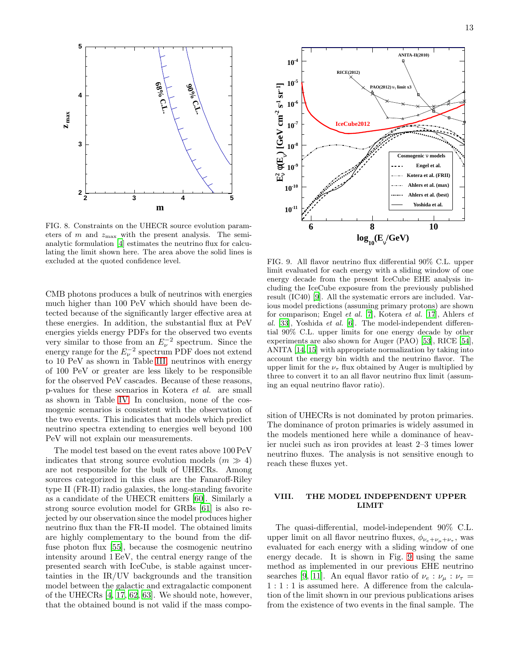

<span id="page-12-1"></span>FIG. 8. Constraints on the UHECR source evolution parameters of  $m$  and  $z_{\text{max}}$  with the present analysis. The semianalytic formulation [\[4](#page-13-2)] estimates the neutrino flux for calculating the limit shown here. The area above the solid lines is excluded at the quoted confidence level.

CMB photons produces a bulk of neutrinos with energies much higher than 100 PeV which should have been detected because of the significantly larger effective area at these energies. In addition, the substantial flux at PeV energies yields energy PDFs for the observed two events very similar to those from an  $E_{\nu}^{-2}$  spectrum. Since the energy range for the  $E_{\nu}^{-2}$  spectrum PDF does not extend to 10 PeV as shown in Table [III,](#page-9-2) neutrinos with energy of 100 PeV or greater are less likely to be responsible for the observed PeV cascades. Because of these reasons, p-values for these scenarios in Kotera et al. are small as shown in Table [IV.](#page-10-2) In conclusion, none of the cosmogenic scenarios is consistent with the observation of the two events. This indicates that models which predict neutrino spectra extending to energies well beyond 100 PeV will not explain our measurements.

The model test based on the event rates above 100 PeV indicates that strong source evolution models  $(m \gg 4)$ are not responsible for the bulk of UHECRs. Among sources categorized in this class are the Fanaroff-Riley type II (FR-II) radio galaxies, the long-standing favorite as a candidate of the UHECR emitters [\[60\]](#page-14-40). Similarly a strong source evolution model for GRBs [\[61](#page-14-41)] is also rejected by our observation since the model produces higher neutrino flux than the FR-II model. The obtained limits are highly complementary to the bound from the diffuse photon flux [\[55\]](#page-14-33), because the cosmogenic neutrino intensity around 1 EeV, the central energy range of the presented search with IceCube, is stable against uncertainties in the IR/UV backgrounds and the transition model between the galactic and extragalactic component of the UHECRs [\[4](#page-13-2), [17,](#page-13-12) [62,](#page-14-42) [63](#page-14-43)]. We should note, however, that the obtained bound is not valid if the mass compo-



<span id="page-12-2"></span>FIG. 9. All flavor neutrino flux differential 90% C.L. upper limit evaluated for each energy with a sliding window of one energy decade from the present IceCube EHE analysis including the IceCube exposure from the previously published result (IC40) [\[9\]](#page-13-7). All the systematic errors are included. Various model predictions (assuming primary protons) are shown for comparison; Engel et al. [\[7\]](#page-13-5), Kotera et al. [\[17\]](#page-13-12), Ahlers et al. [\[33](#page-14-15)], Yoshida et al. [\[6](#page-13-4)]. The model-independent differential 90% C.L. upper limits for one energy decade by other experiments are also shown for Auger (PAO) [\[53](#page-14-44)], RICE [\[54\]](#page-14-45), ANITA [\[14](#page-13-14), [15](#page-13-15)] with appropriate normalization by taking into account the energy bin width and the neutrino flavor. The upper limit for the  $\nu_{\tau}$  flux obtained by Auger is multiplied by three to convert it to an all flavor neutrino flux limit (assuming an equal neutrino flavor ratio).

sition of UHECRs is not dominated by proton primaries. The dominance of proton primaries is widely assumed in the models mentioned here while a dominance of heavier nuclei such as iron provides at least 2–3 times lower neutrino fluxes. The analysis is not sensitive enough to reach these fluxes yet.

# <span id="page-12-0"></span>VIII. THE MODEL INDEPENDENT UPPER LIMIT

The quasi-differential, model-independent 90% C.L. upper limit on all flavor neutrino fluxes,  $\phi_{\nu_e+\nu_\mu+\nu_\tau}$ , was evaluated for each energy with a sliding window of one energy decade. It is shown in Fig. [9](#page-12-2) using the same method as implemented in our previous EHE neutrino searches [\[9,](#page-13-7) [11\]](#page-13-9). An equal flavor ratio of  $\nu_e : \nu_\mu : \nu_\tau =$ 1 : 1 : 1 is assumed here. A difference from the calculation of the limit shown in our previous publications arises from the existence of two events in the final sample. The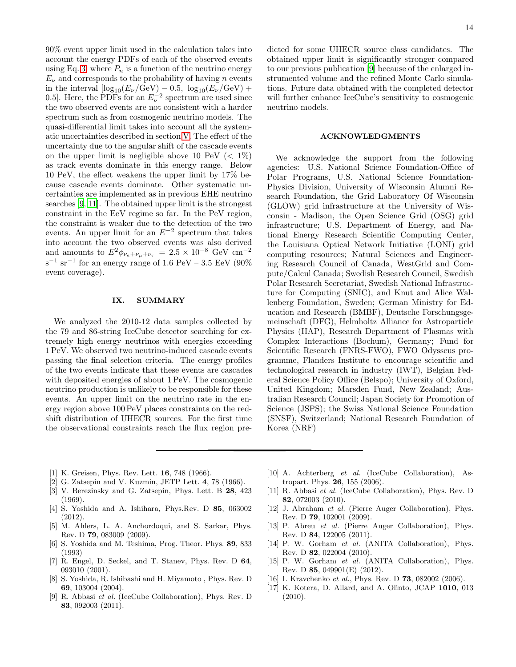90% event upper limit used in the calculation takes into account the energy PDFs of each of the observed events using Eq. [3,](#page-11-2) where  $P_n$  is a function of the neutrino energy  $E_{\nu}$  and corresponds to the probability of having n events in the interval  $[\log_{10}(E_{\nu}/\text{GeV}) - 0.5, \log_{10}(E_{\nu}/\text{GeV}) +$ 0.5]. Here, the PDFs for an  $E_{\nu}^{-2}$  spectrum are used since the two observed events are not consistent with a harder spectrum such as from cosmogenic neutrino models. The quasi-differential limit takes into account all the systematic uncertainties described in section [V.](#page-6-0) The effect of the uncertainty due to the angular shift of the cascade events on the upper limit is negligible above 10 PeV  $(< 1\%)$ as track events dominate in this energy range. Below 10 PeV, the effect weakens the upper limit by 17% because cascade events dominate. Other systematic uncertainties are implemented as in previous EHE neutrino searches [\[9](#page-13-7), [11\]](#page-13-9). The obtained upper limit is the strongest constraint in the EeV regime so far. In the PeV region, the constraint is weaker due to the detection of the two events. An upper limit for an  $E^{-2}$  spectrum that takes into account the two observed events was also derived and amounts to  $E^2 \phi_{\nu_e+\nu_\mu+\nu_\tau} = 2.5 \times 10^{-8} \text{ GeV cm}^{-2}$  $s^{-1}$  sr<sup>-1</sup> for an energy range of 1.6 PeV – 3.5 EeV (90%) event coverage).

## <span id="page-13-13"></span>IX. SUMMARY

We analyzed the 2010-12 data samples collected by the 79 and 86-string IceCube detector searching for extremely high energy neutrinos with energies exceeding 1 PeV. We observed two neutrino-induced cascade events passing the final selection criteria. The energy profiles of the two events indicate that these events are cascades with deposited energies of about 1 PeV. The cosmogenic neutrino production is unlikely to be responsible for these events. An upper limit on the neutrino rate in the energy region above 100 PeV places constraints on the redshift distribution of UHECR sources. For the first time the observational constraints reach the flux region predicted for some UHECR source class candidates. The obtained upper limit is significantly stronger compared to our previous publication [\[9](#page-13-7)] because of the enlarged instrumented volume and the refined Monte Carlo simulations. Future data obtained with the completed detector will further enhance IceCube's sensitivity to cosmogenic neutrino models.

#### ACKNOWLEDGMENTS

We acknowledge the support from the following agencies: U.S. National Science Foundation-Office of Polar Programs, U.S. National Science Foundation-Physics Division, University of Wisconsin Alumni Research Foundation, the Grid Laboratory Of Wisconsin (GLOW) grid infrastructure at the University of Wisconsin - Madison, the Open Science Grid (OSG) grid infrastructure; U.S. Department of Energy, and National Energy Research Scientific Computing Center, the Louisiana Optical Network Initiative (LONI) grid computing resources; Natural Sciences and Engineering Research Council of Canada, WestGrid and Compute/Calcul Canada; Swedish Research Council, Swedish Polar Research Secretariat, Swedish National Infrastructure for Computing (SNIC), and Knut and Alice Wallenberg Foundation, Sweden; German Ministry for Education and Research (BMBF), Deutsche Forschungsgemeinschaft (DFG), Helmholtz Alliance for Astroparticle Physics (HAP), Research Department of Plasmas with Complex Interactions (Bochum), Germany; Fund for Scientific Research (FNRS-FWO), FWO Odysseus programme, Flanders Institute to encourage scientific and technological research in industry (IWT), Belgian Federal Science Policy Office (Belspo); University of Oxford, United Kingdom; Marsden Fund, New Zealand; Australian Research Council; Japan Society for Promotion of Science (JSPS); the Swiss National Science Foundation (SNSF), Switzerland; National Research Foundation of Korea (NRF)

- <span id="page-13-0"></span>[1] K. Greisen, Phys. Rev. Lett. 16, 748 (1966).
- [2] G. Zatsepin and V. Kuzmin, JETP Lett. 4, 78 (1966).
- <span id="page-13-1"></span>[3] V. Berezinsky and G. Zatsepin, Phys. Lett. B 28, 423 (1969).
- <span id="page-13-2"></span>[4] S. Yoshida and A. Ishihara, Phys.Rev. D 85, 063002 (2012).
- <span id="page-13-3"></span>[5] M. Ahlers, L. A. Anchordoqui, and S. Sarkar, Phys. Rev. D 79, 083009 (2009).
- <span id="page-13-4"></span>[6] S. Yoshida and M. Teshima, Prog. Theor. Phys. 89, 833 (1993)
- <span id="page-13-5"></span>[7] R. Engel, D. Seckel, and T. Stanev, Phys. Rev. D 64, 093010 (2001).
- <span id="page-13-6"></span>[8] S. Yoshida, R. Ishibashi and H. Miyamoto , Phys. Rev. D 69, 103004 (2004).
- <span id="page-13-7"></span>[9] R. Abbasi et al. (IceCube Collaboration), Phys. Rev. D 83, 092003 (2011).
- <span id="page-13-8"></span>[10] A. Achterberg et al. (IceCube Collaboration), Astropart. Phys. 26, 155 (2006).
- <span id="page-13-9"></span>[11] R. Abbasi et al. (IceCube Collaboration), Phys. Rev. D 82, 072003 (2010).
- <span id="page-13-10"></span>[12] J. Abraham et al. (Pierre Auger Collaboration), Phys. Rev. D 79, 102001 (2009).
- [13] P. Abreu et al. (Pierre Auger Collaboration), Phys. Rev. D 84, 122005 (2011).
- <span id="page-13-14"></span>[14] P. W. Gorham et al. (ANITA Collaboration), Phys. Rev. D 82, 022004 (2010).
- <span id="page-13-15"></span>[15] P. W. Gorham et al. (ANITA Collaboration), Phys. Rev. D 85, 049901(E) (2012).
- <span id="page-13-11"></span>[16] I. Kravchenko et al., Phys. Rev. D **73**, 082002 (2006).
- <span id="page-13-12"></span>[17] K. Kotera, D. Allard, and A. Olinto, JCAP 1010, 013 (2010).